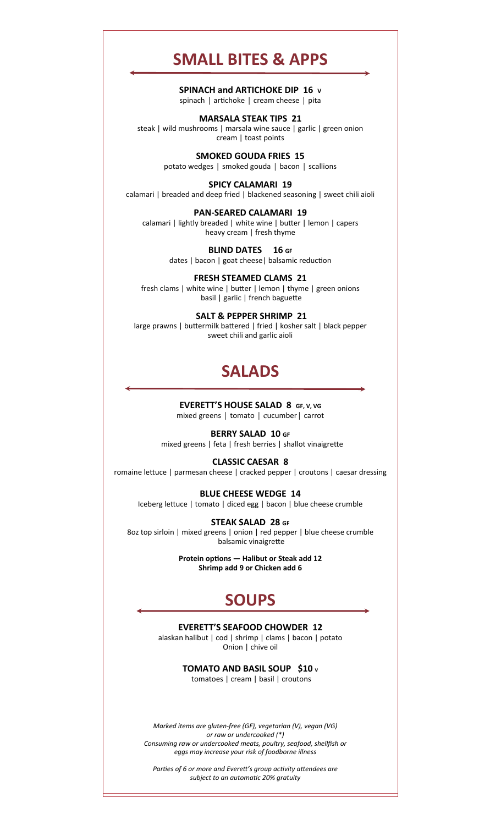# **SMALL BITES & APPS**

**SPINACH and ARTICHOKE DIP 16 V**  spinach | artichoke | cream cheese | pita

**MARSALA STEAK TIPS 21** 

steak | wild mushrooms | marsala wine sauce | garlic | green onion cream | toast points

> **SMOKED GOUDA FRIES 15**  potato wedges | smoked gouda | bacon | scallions

**SPICY CALAMARI 19**  calamari | breaded and deep fried | blackened seasoning | sweet chili aioli

**PAN‐SEARED CALAMARI 19**  calamari | lightly breaded | white wine | butter | lemon | capers heavy cream | fresh thyme

> **BLIND DATES 16 GF** dates | bacon | goat cheese | balsamic reduction

**FRESH STEAMED CLAMS 21**  fresh clams | white wine | butter | lemon | thyme | green onions basil | garlic | french baguette

 **SALT & PEPPER SHRIMP 21**  large prawns | buttermilk battered | fried | kosher salt | black pepper sweet chili and garlic aioli

# **SALADS**

**EVERETT'S HOUSE SALAD 8 GF, V, VG**  mixed greens | tomato | cucumber| carrot

**BERRY SALAD 10 GF**  mixed greens | feta | fresh berries | shallot vinaigrette

#### **CLASSIC CAESAR 8**

romaine lettuce | parmesan cheese | cracked pepper | croutons | caesar dressing

**BLUE CHEESE WEDGE 14**  Iceberg lettuce | tomato | diced egg | bacon | blue cheese crumble

**STEAK SALAD 28 GF**  8oz top sirloin | mixed greens | onion | red pepper | blue cheese crumble balsamic vinaigrette

> **Protein options — Halibut or Steak add 12 Shrimp add 9 or Chicken add 6**

# **SOUPS**

## **EVERETT'S SEAFOOD CHOWDER 12**

alaskan halibut | cod | shrimp | clams | bacon | potato Onion | chive oil

**TOMATO AND BASIL SOUP \$10 v**

tomatoes | cream | basil | croutons

*Marked items are gluten‐free (GF), vegetarian (V), vegan (VG) or raw or undercooked (\*) Consuming raw or undercooked meats, poultry, seafood, shellfish or eggs may increase your risk of foodborne illness* 

Parties of 6 or more and Everett's group activity attendees are *subject to an automaƟc 20% gratuity*